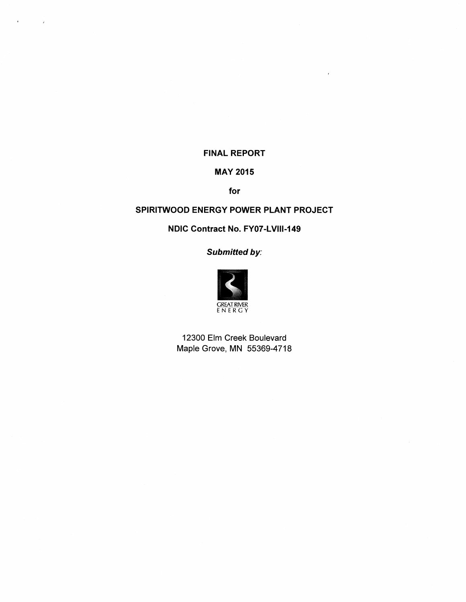# FINAL REPORT

 $\epsilon$ 

 $\bar{\mathbf{r}}$ 

 $\sim 10^{11}$ 

# MAY 2015

for

# SPIRITWOOD ENERGY POWER PLANT PROJECT

NDIC Contract No. FY07-LVlll-149

Submitted by:



12300 Elm Creek Boulevard Maple Grove, MN 55369-4718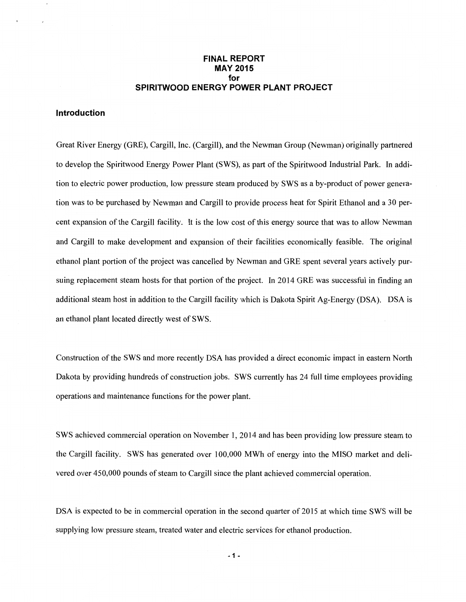### **FINAL REPORT MAY 2015 for SPIRITWOOD ENERGY POWER PLANT PROJECT**

#### **Introduction**

Great River Energy (GRE), Cargill, Inc. (Cargill), and the Newman Group (Newman) originally partnered to develop the Spiritwood Energy Power Plant (SWS), as part of the Spiritwood Industrial Park. In addition to electric power production, low pressure steam produced by SWS as a by-product of power generation was to be purchased by Newman and Cargill to provide process heat for Spirit Ethanol and a 30 percent expansion of the Cargill facility. It is the low cost of this energy source that was to allow Newman and Cargill to make development and expansion of their facilities economically feasible. The original ethanol plant portion of the project was cancelled by Newman and GRE spent several years actively pursuing replacement steam hosts for that portion of the project. In 2014 GRE was successful in finding an additional steam host in addition to the Cargill facility which is Dakota Spirit Ag-Energy (DSA). DSA is an ethanol plant located directly west of SWS.

Construction of the SWS and more recently DSA has provided a direct economic impact in eastern North Dakota by providing hundreds of construction jobs. SWS currently has 24 full time employees providing operations and maintenance functions for the power plant.

SWS achieved commercial operation on November 1, 2014 and has been providing low pressure steam to the Cargill facility. SWS has generated over 100,000 MWh of energy into the MISO market and delivered over 450,000 pounds of steam to Cargill since the plant achieved commercial operation.

DSA is expected to be in commercial operation in the second quarter of 2015 at which time SWS will be supplying low pressure steam, treated water and electric services for ethanol production.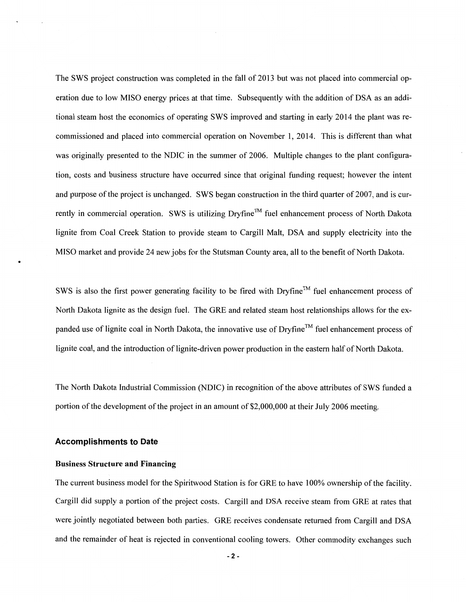The SWS project construction was completed in the fall of 2013 but was not placed into commercial operation due to low MISO energy prices at that time. Subsequently with the addition of DSA as an additional steam host the economics of operating SWS improved and starting in early 2014 the plant was recommissioned and placed into commercial operation on November 1, 2014. This is different than what was originally presented to the NDIC in the summer of 2006. Multiple changes to the plant configuration, costs and business structure have occurred since that original funding request; however the intent and purpose of the project is unchanged. SWS began construction in the third quarter of 2007, and is currently in commercial operation. SWS is utilizing Dryfine™ fuel enhancement process of North Dakota lignite from Coal Creek Station to provide steam to Cargill Malt, DSA and supply electricity into the MISO market and provide 24 new jobs for the Stutsman County area, all to the benefit of North Dakota.

SWS is also the first power generating facility to be fired with Dryfine<sup>™</sup> fuel enhancement process of North Dakota lignite as the design fuel. The GRE and related steam host relationships allows for the expanded use of lignite coal in North Dakota, the innovative use of Dryfine<sup>™</sup> fuel enhancement process of lignite coal, and the introduction of lignite-driven power production in the eastern half of North Dakota.

The North Dakota Industrial Commission (NDIC) in recognition of the above attributes of SWS funded a portion of the development of the project in an amount of \$2,000,000 at their July 2006 meeting.

#### **Accomplishments to Date**

#### Business Structure and Financing

The current business model for the Spiritwood Station is for GRE to have 100% ownership of the facility. Cargill did supply a portion of the project costs. Cargill and DSA receive steam from GRE at rates that were jointly negotiated between both parties. GRE receives condensate returned from Cargill and DSA and the remainder of heat is rejected in conventional cooling towers. Other commodity exchanges such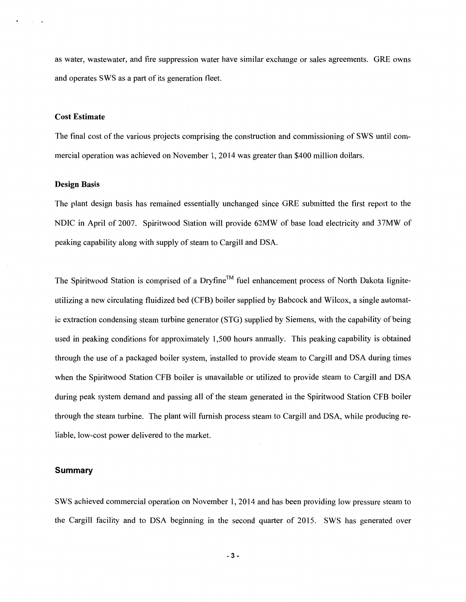as water, wastewater, and fire suppression water have similar exchange or sales agreements. GRE owns and operates SWS as a part of its generation fleet.

#### Cost Estimate

The final cost of the various projects comprising the construction and commissioning of SWS until commercial operation was achieved on November 1, 2014 was greater than \$400 million dollars.

#### Design Basis

The plant design basis has remained essentially unchanged since GRE submitted the first report to the NDIC in April of 2007. Spiritwood Station will provide 62MW of base load electricity and 37MW of peaking capability along with supply of steam to Cargill and DSA.

The Spiritwood Station is comprised of a Dryfine™ fuel enhancement process of North Dakota ligniteutilizing a new circulating fluidized bed (CFB) boiler supplied by Babcock and Wilcox, a single automatic extraction condensing steam turbine generator (STG) supplied by Siemens, with the capability of being used in peaking conditions for approximately 1,500 hours annually. This peaking capability is obtained through the use of a packaged boiler system, installed to provide steam to Cargill and DSA during times when the Spiritwood Station CFB boiler is unavailable or utilized to provide steam to Cargill and DSA during peak system demand and passing all of the steam generated in the Spiritwood Station CFB boiler through the steam turbine. The plant will furnish process steam to Cargill and DSA, while producing reliable, low-cost power delivered to the market.

#### **Summary**

SWS achieved commercial operation on November 1, 2014 and has been providing low pressure steam to the Cargill facility and to DSA beginning in the second quarter of 2015. SWS has generated over